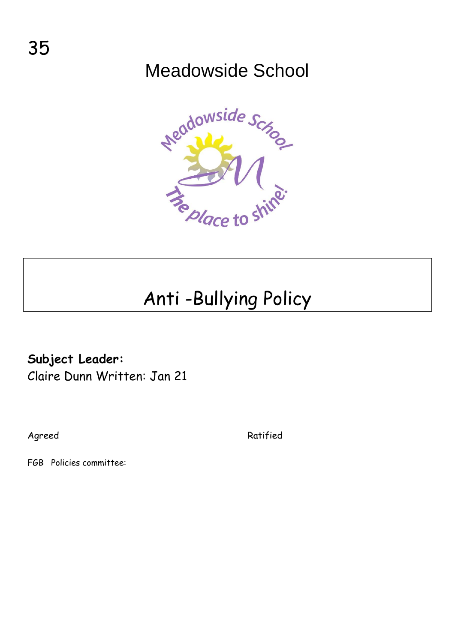## Meadowside School



# Anti -Bullying Policy

### **Subject Leader:**

Claire Dunn Written: Jan 21

Agreed Ratified

FGB Policies committee: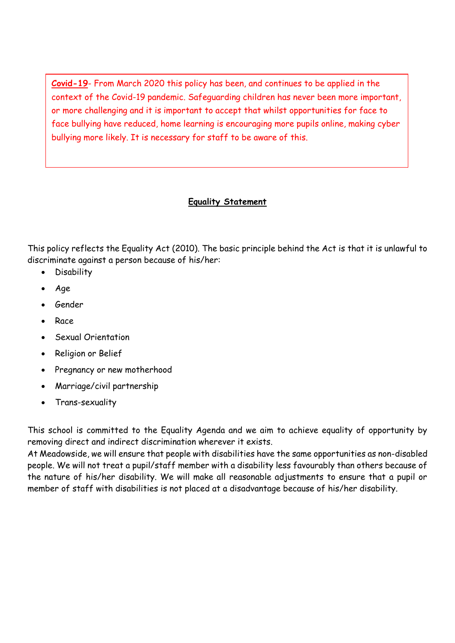**Covid-19**- From March 2020 this policy has been, and continues to be applied in the context of the Covid-19 pandemic. Safeguarding children has never been more important, or more challenging and it is important to accept that whilst opportunities for face to face bullying have reduced, home learning is encouraging more pupils online, making cyber bullying more likely. It is necessary for staff to be aware of this.

#### **Equality Statement**

This policy reflects the Equality Act (2010). The basic principle behind the Act is that it is unlawful to discriminate against a person because of his/her:

- **Disability**
- Age
- Gender
- Race
- Sexual Orientation
- Religion or Belief
- Pregnancy or new motherhood
- Marriage/civil partnership
- Trans-sexuality

This school is committed to the Equality Agenda and we aim to achieve equality of opportunity by removing direct and indirect discrimination wherever it exists.

At Meadowside, we will ensure that people with disabilities have the same opportunities as non-disabled people. We will not treat a pupil/staff member with a disability less favourably than others because of the nature of his/her disability. We will make all reasonable adjustments to ensure that a pupil or member of staff with disabilities is not placed at a disadvantage because of his/her disability.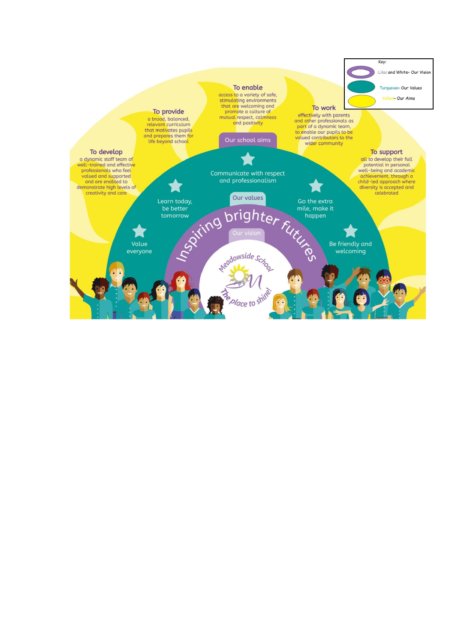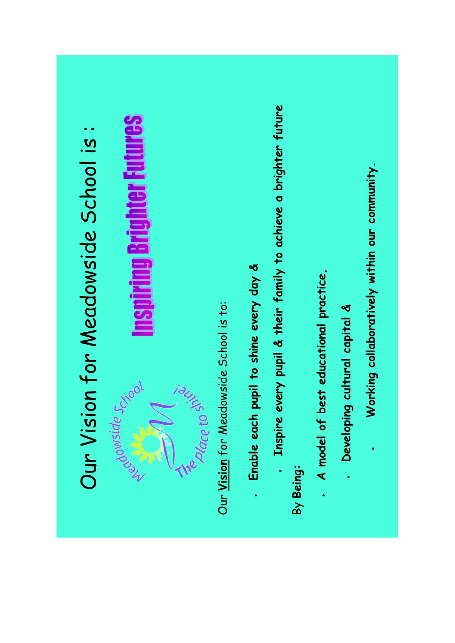# . Inspire every pupil & their family to achieve a brighter future **Inspiring Brighter Futures** Our Vision for Meadowside School is: Working collaboratively within our community. - Enable each pupil to shine every day & . A model of best educational practice, Our Vision for Meadowside School is to: . Developing cultural capital & is chace to sixe. Department of Cross By Being: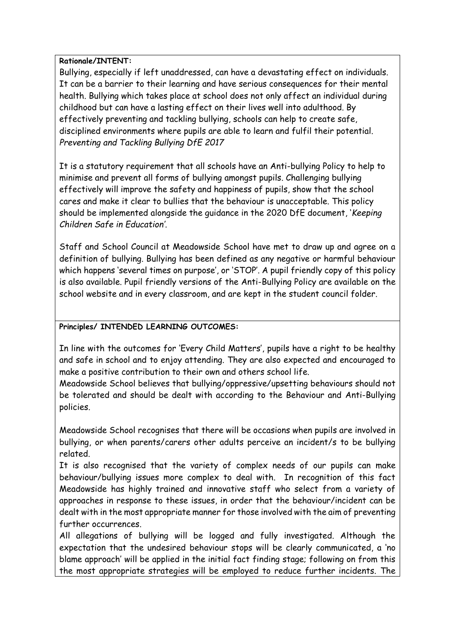#### **Rationale/INTENT:**

Bullying, especially if left unaddressed, can have a devastating effect on individuals. It can be a barrier to their learning and have serious consequences for their mental health. Bullying which takes place at school does not only affect an individual during childhood but can have a lasting effect on their lives well into adulthood. By effectively preventing and tackling bullying, schools can help to create safe, disciplined environments where pupils are able to learn and fulfil their potential. *Preventing and Tackling Bullying DfE 2017*

It is a statutory requirement that all schools have an Anti-bullying Policy to help to minimise and prevent all forms of bullying amongst pupils. Challenging bullying effectively will improve the safety and happiness of pupils, show that the school cares and make it clear to bullies that the behaviour is unacceptable. This policy should be implemented alongside the guidance in the 2020 DfE document, '*Keeping Children Safe in Education'*.

Staff and School Council at Meadowside School have met to draw up and agree on a definition of bullying. Bullying has been defined as any negative or harmful behaviour which happens 'several times on purpose', or 'STOP'. A pupil friendly copy of this policy is also available. Pupil friendly versions of the Anti-Bullying Policy are available on the school website and in every classroom, and are kept in the student council folder.

#### **Principles/ INTENDED LEARNING OUTCOMES:**

In line with the outcomes for 'Every Child Matters', pupils have a right to be healthy and safe in school and to enjoy attending. They are also expected and encouraged to make a positive contribution to their own and others school life.

Meadowside School believes that bullying/oppressive/upsetting behaviours should not be tolerated and should be dealt with according to the Behaviour and Anti-Bullying policies.

Meadowside School recognises that there will be occasions when pupils are involved in bullying, or when parents/carers other adults perceive an incident/s to be bullying related.

It is also recognised that the variety of complex needs of our pupils can make behaviour/bullying issues more complex to deal with. In recognition of this fact Meadowside has highly trained and innovative staff who select from a variety of approaches in response to these issues, in order that the behaviour/incident can be dealt with in the most appropriate manner for those involved with the aim of preventing further occurrences.

All allegations of bullying will be logged and fully investigated. Although the expectation that the undesired behaviour stops will be clearly communicated, a 'no blame approach' will be applied in the initial fact finding stage; following on from this the most appropriate strategies will be employed to reduce further incidents. The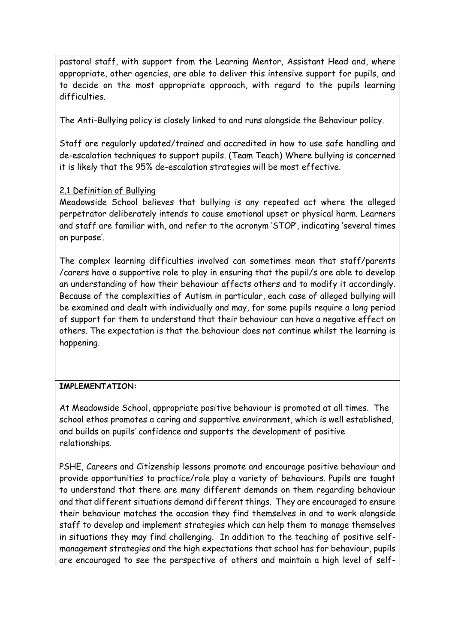pastoral staff, with support from the Learning Mentor, Assistant Head and, where appropriate, other agencies, are able to deliver this intensive support for pupils, and to decide on the most appropriate approach, with regard to the pupils learning difficulties.

The Anti-Bullying policy is closely linked to and runs alongside the Behaviour policy.

Staff are regularly updated/trained and accredited in how to use safe handling and de-escalation techniques to support pupils. (Team Teach) Where bullying is concerned it is likely that the 95% de-escalation strategies will be most effective.

#### 2.1 Definition of Bullying

Meadowside School believes that bullying is any repeated act where the alleged perpetrator deliberately intends to cause emotional upset or physical harm. Learners and staff are familiar with, and refer to the acronym 'STOP', indicating 'several times on purpose'.

The complex learning difficulties involved can sometimes mean that staff/parents /carers have a supportive role to play in ensuring that the pupil/s are able to develop an understanding of how their behaviour affects others and to modify it accordingly. Because of the complexities of Autism in particular, each case of alleged bullying will be examined and dealt with individually and may, for some pupils require a long period of support for them to understand that their behaviour can have a negative effect on others. The expectation is that the behaviour does not continue whilst the learning is happening.

#### **IMPLEMENTATION:**

At Meadowside School, appropriate positive behaviour is promoted at all times. The school ethos promotes a caring and supportive environment, which is well established, and builds on pupils' confidence and supports the development of positive relationships.

PSHE, Careers and Citizenship lessons promote and encourage positive behaviour and provide opportunities to practice/role play a variety of behaviours. Pupils are taught to understand that there are many different demands on them regarding behaviour and that different situations demand different things. They are encouraged to ensure their behaviour matches the occasion they find themselves in and to work alongside staff to develop and implement strategies which can help them to manage themselves in situations they may find challenging. In addition to the teaching of positive selfmanagement strategies and the high expectations that school has for behaviour, pupils are encouraged to see the perspective of others and maintain a high level of self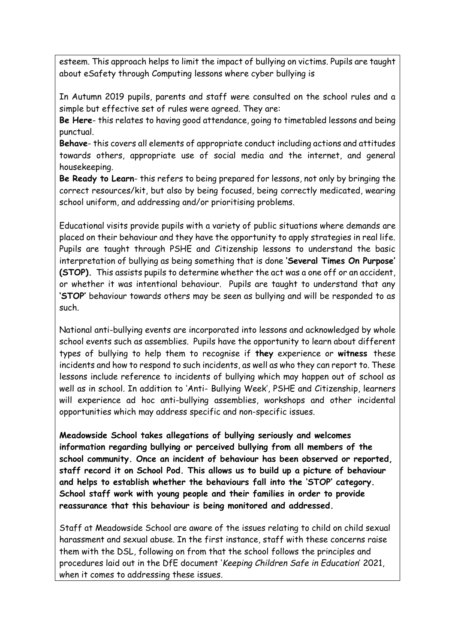esteem. This approach helps to limit the impact of bullying on victims. Pupils are taught about eSafety through Computing lessons where cyber bullying is

In Autumn 2019 pupils, parents and staff were consulted on the school rules and a simple but effective set of rules were agreed. They are:

**Be Here**- this relates to having good attendance, going to timetabled lessons and being punctual.

**Behave**- this covers all elements of appropriate conduct including actions and attitudes towards others, appropriate use of social media and the internet, and general housekeeping.

**Be Ready to Learn**- this refers to being prepared for lessons, not only by bringing the correct resources/kit, but also by being focused, being correctly medicated, wearing school uniform, and addressing and/or prioritising problems.

Educational visits provide pupils with a variety of public situations where demands are placed on their behaviour and they have the opportunity to apply strategies in real life. Pupils are taught through PSHE and Citizenship lessons to understand the basic interpretation of bullying as being something that is done **'Several Times On Purpose' (STOP).** This assists pupils to determine whether the act was a one off or an accident, or whether it was intentional behaviour. Pupils are taught to understand that any **'STOP'** behaviour towards others may be seen as bullying and will be responded to as such.

National anti-bullying events are incorporated into lessons and acknowledged by whole school events such as assemblies. Pupils have the opportunity to learn about different types of bullying to help them to recognise if **they** experience or **witness** these incidents and how to respond to such incidents, as well as who they can report to. These lessons include reference to incidents of bullying which may happen out of school as well as in school. In addition to 'Anti- Bullying Week', PSHE and Citizenship, learners will experience ad hoc anti-bullying assemblies, workshops and other incidental opportunities which may address specific and non-specific issues.

**Meadowside School takes allegations of bullying seriously and welcomes information regarding bullying or perceived bullying from all members of the school community. Once an incident of behaviour has been observed or reported, staff record it on School Pod. This allows us to build up a picture of behaviour and helps to establish whether the behaviours fall into the 'STOP' category. School staff work with young people and their families in order to provide reassurance that this behaviour is being monitored and addressed.**

Staff at Meadowside School are aware of the issues relating to child on child sexual harassment and sexual abuse. In the first instance, staff with these concerns raise them with the DSL, following on from that the school follows the principles and procedures laid out in the DfE document '*Keeping Children Safe in Education*' 2021, when it comes to addressing these issues.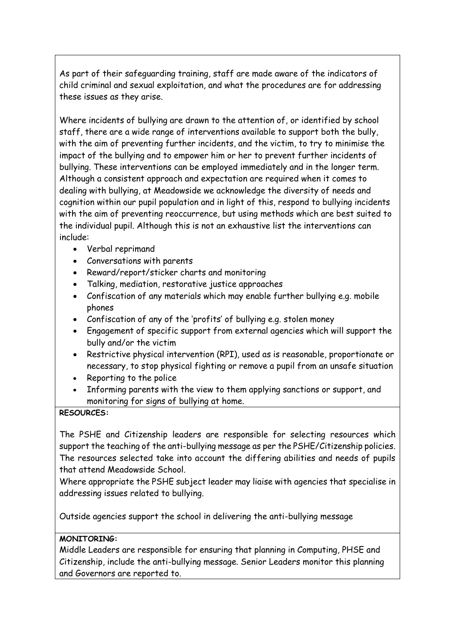As part of their safeguarding training, staff are made aware of the indicators of child criminal and sexual exploitation, and what the procedures are for addressing these issues as they arise.

Where incidents of bullying are drawn to the attention of, or identified by school staff, there are a wide range of interventions available to support both the bully, with the aim of preventing further incidents, and the victim, to try to minimise the impact of the bullying and to empower him or her to prevent further incidents of bullying. These interventions can be employed immediately and in the longer term. Although a consistent approach and expectation are required when it comes to dealing with bullying, at Meadowside we acknowledge the diversity of needs and cognition within our pupil population and in light of this, respond to bullying incidents with the aim of preventing reoccurrence, but using methods which are best suited to the individual pupil. Although this is not an exhaustive list the interventions can include:

- Verbal reprimand
- Conversations with parents
- Reward/report/sticker charts and monitoring
- Talking, mediation, restorative justice approaches
- Confiscation of any materials which may enable further bullying e.g. mobile phones
- Confiscation of any of the 'profits' of bullying e.g. stolen money
- Engagement of specific support from external agencies which will support the bully and/or the victim
- Restrictive physical intervention (RPI), used as is reasonable, proportionate or necessary, to stop physical fighting or remove a pupil from an unsafe situation
- Reporting to the police
- Informing parents with the view to them applying sanctions or support, and monitoring for signs of bullying at home.

#### **RESOURCES:**

The PSHE and Citizenship leaders are responsible for selecting resources which support the teaching of the anti-bullying message as per the PSHE/Citizenship policies. The resources selected take into account the differing abilities and needs of pupils that attend Meadowside School.

Where appropriate the PSHE subject leader may liaise with agencies that specialise in addressing issues related to bullying.

Outside agencies support the school in delivering the anti-bullying message

#### **MONITORING:**

Middle Leaders are responsible for ensuring that planning in Computing, PHSE and Citizenship, include the anti-bullying message. Senior Leaders monitor this planning and Governors are reported to.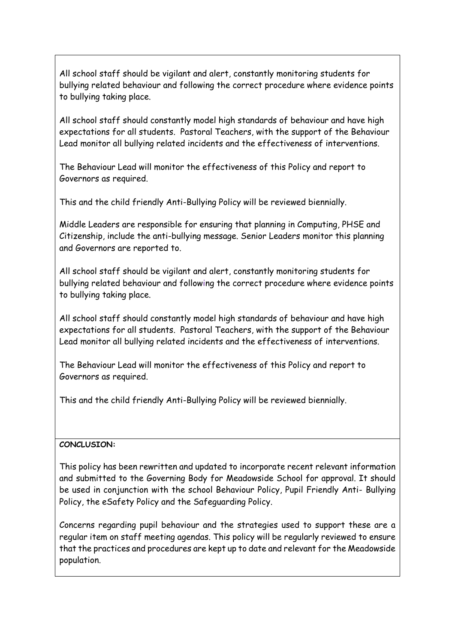All school staff should be vigilant and alert, constantly monitoring students for bullying related behaviour and following the correct procedure where evidence points to bullying taking place.

All school staff should constantly model high standards of behaviour and have high expectations for all students. Pastoral Teachers, with the support of the Behaviour Lead monitor all bullying related incidents and the effectiveness of interventions.

The Behaviour Lead will monitor the effectiveness of this Policy and report to Governors as required.

This and the child friendly Anti-Bullying Policy will be reviewed biennially.

Middle Leaders are responsible for ensuring that planning in Computing, PHSE and Citizenship, include the anti-bullying message. Senior Leaders monitor this planning and Governors are reported to.

All school staff should be vigilant and alert, constantly monitoring students for bullying related behaviour and following the correct procedure where evidence points to bullying taking place.

All school staff should constantly model high standards of behaviour and have high expectations for all students. Pastoral Teachers, with the support of the Behaviour Lead monitor all bullying related incidents and the effectiveness of interventions.

The Behaviour Lead will monitor the effectiveness of this Policy and report to Governors as required.

This and the child friendly Anti-Bullying Policy will be reviewed biennially.

#### **CONCLUSION:**

This policy has been rewritten and updated to incorporate recent relevant information and submitted to the Governing Body for Meadowside School for approval. It should be used in conjunction with the school Behaviour Policy, Pupil Friendly Anti- Bullying Policy, the eSafety Policy and the Safeguarding Policy.

Concerns regarding pupil behaviour and the strategies used to support these are a regular item on staff meeting agendas. This policy will be regularly reviewed to ensure that the practices and procedures are kept up to date and relevant for the Meadowside population.